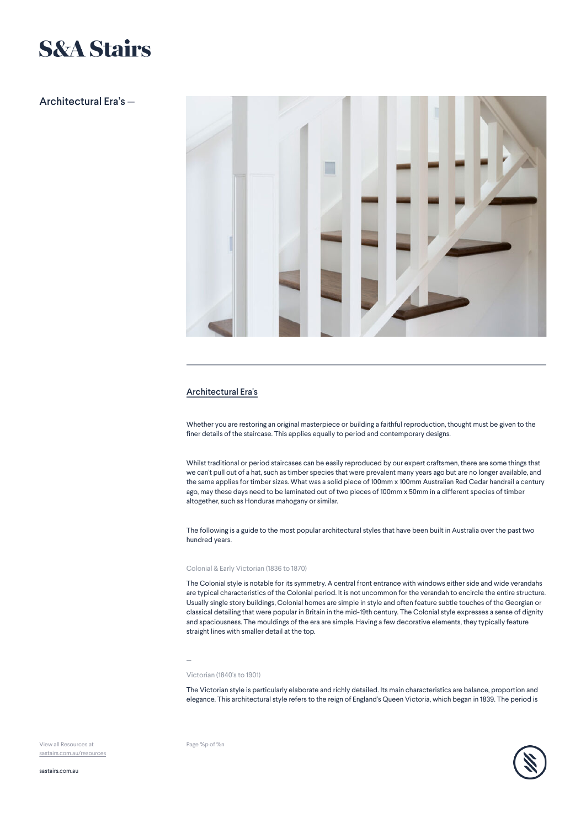# **S&A Stairs**

# Architectural Era's —



## Architectural Era's

Whether you are restoring an original masterpiece or building a faithful reproduction, thought must be given to the finer details of the staircase. This applies equally to period and contemporary designs.

Whilst traditional or period staircases can be easily reproduced by our expert craftsmen, there are some things that we can't pull out of a hat, such as timber species that were prevalent many years ago but are no longer available, and the same applies for timber sizes. What was a solid piece of 100mm x 100mm Australian Red Cedar handrail a century ago, may these days need to be laminated out of two pieces of 100mm x 50mm in a different species of timber altogether, such as Honduras mahogany or similar.

The following is a guide to the most popular architectural styles that have been built in Australia over the past two hundred years.

## Colonial & Early Victorian (1836 to 1870)

The Colonial style is notable for its symmetry. A central front entrance with windows either side and wide verandahs are typical characteristics of the Colonial period. It is not uncommon for the verandah to encircle the entire structure. Usually single story buildings, Colonial homes are simple in style and often feature subtle touches of the Georgian or classical detailing that were popular in Britain in the mid-19th century. The Colonial style expresses a sense of dignity and spaciousness. The mouldings of the era are simple. Having a few decorative elements, they typically feature straight lines with smaller detail at the top.

—

## Victorian (1840's to 1901)

The Victorian style is particularly elaborate and richly detailed. Its main characteristics are balance, proportion and elegance. This architectural style refers to the reign of England's Queen Victoria, which began in 1839. The period is

View all Resources at [sastairs.com.au/resources](https://sastairs.com.au/)